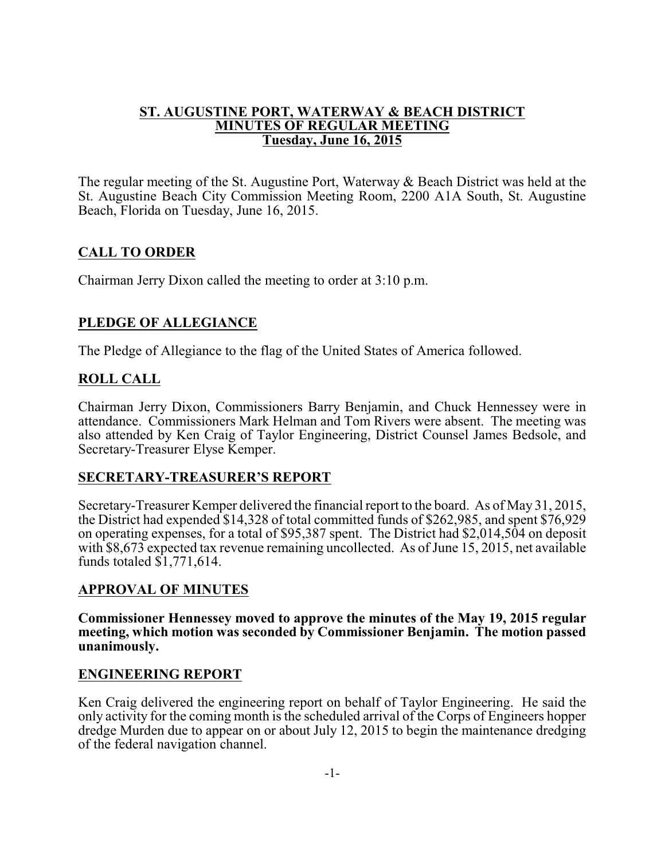#### **ST. AUGUSTINE PORT, WATERWAY & BEACH DISTRICT MINUTES OF REGULAR MEETING Tuesday, June 16, 2015**

The regular meeting of the St. Augustine Port, Waterway & Beach District was held at the St. Augustine Beach City Commission Meeting Room, 2200 A1A South, St. Augustine Beach, Florida on Tuesday, June 16, 2015.

## **CALL TO ORDER**

Chairman Jerry Dixon called the meeting to order at 3:10 p.m.

## **PLEDGE OF ALLEGIANCE**

The Pledge of Allegiance to the flag of the United States of America followed.

### **ROLL CALL**

Chairman Jerry Dixon, Commissioners Barry Benjamin, and Chuck Hennessey were in attendance. Commissioners Mark Helman and Tom Rivers were absent. The meeting was also attended by Ken Craig of Taylor Engineering, District Counsel James Bedsole, and Secretary-Treasurer Elyse Kemper.

## **SECRETARY-TREASURER'S REPORT**

Secretary-Treasurer Kemper delivered the financial report to the board. As of May 31, 2015, the District had expended \$14,328 of total committed funds of \$262,985, and spent \$76,929 on operating expenses, for a total of \$95,387 spent. The District had \$2,014,504 on deposit with \$8,673 expected tax revenue remaining uncollected. As of June 15, 2015, net available funds totaled  $\overline{\$1,771,614.}$ 

## **APPROVAL OF MINUTES**

**Commissioner Hennessey moved to approve the minutes of the May 19, 2015 regular meeting, which motion was seconded by Commissioner Benjamin. The motion passed unanimously.**

#### **ENGINEERING REPORT**

Ken Craig delivered the engineering report on behalf of Taylor Engineering. He said the only activity for the coming month is the scheduled arrival of the Corps of Engineers hopper dredge Murden due to appear on or about July 12, 2015 to begin the maintenance dredging of the federal navigation channel.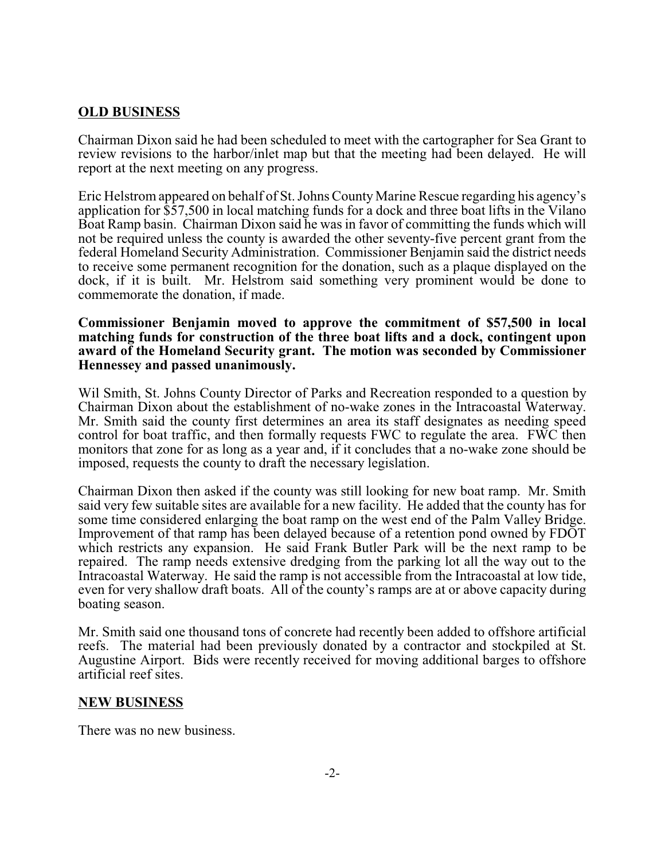### **OLD BUSINESS**

Chairman Dixon said he had been scheduled to meet with the cartographer for Sea Grant to review revisions to the harbor/inlet map but that the meeting had been delayed. He will report at the next meeting on any progress.

Eric Helstrom appeared on behalf of St. Johns CountyMarine Rescue regarding his agency's application for \$57,500 in local matching funds for a dock and three boat lifts in the Vilano Boat Ramp basin. Chairman Dixon said he was in favor of committing the funds which will not be required unless the county is awarded the other seventy-five percent grant from the federal Homeland Security Administration. Commissioner Benjamin said the district needs to receive some permanent recognition for the donation, such as a plaque displayed on the dock, if it is built. Mr. Helstrom said something very prominent would be done to commemorate the donation, if made.

#### **Commissioner Benjamin moved to approve the commitment of \$57,500 in local matching funds for construction of the three boat lifts and a dock, contingent upon award of the Homeland Security grant. The motion was seconded by Commissioner Hennessey and passed unanimously.**

Wil Smith, St. Johns County Director of Parks and Recreation responded to a question by Chairman Dixon about the establishment of no-wake zones in the Intracoastal Waterway. Mr. Smith said the county first determines an area its staff designates as needing speed control for boat traffic, and then formally requests FWC to regulate the area. FWC then monitors that zone for as long as a year and, if it concludes that a no-wake zone should be imposed, requests the county to draft the necessary legislation.

Chairman Dixon then asked if the county was still looking for new boat ramp. Mr. Smith said very few suitable sites are available for a new facility. He added that the county has for some time considered enlarging the boat ramp on the west end of the Palm Valley Bridge. Improvement of that ramp has been delayed because of a retention pond owned by FDOT which restricts any expansion. He said Frank Butler Park will be the next ramp to be repaired. The ramp needs extensive dredging from the parking lot all the way out to the Intracoastal Waterway. He said the ramp is not accessible from the Intracoastal at low tide, even for very shallow draft boats. All of the county's ramps are at or above capacity during boating season.

Mr. Smith said one thousand tons of concrete had recently been added to offshore artificial reefs. The material had been previously donated by a contractor and stockpiled at St. Augustine Airport. Bids were recently received for moving additional barges to offshore artificial reef sites.

#### **NEW BUSINESS**

There was no new business.